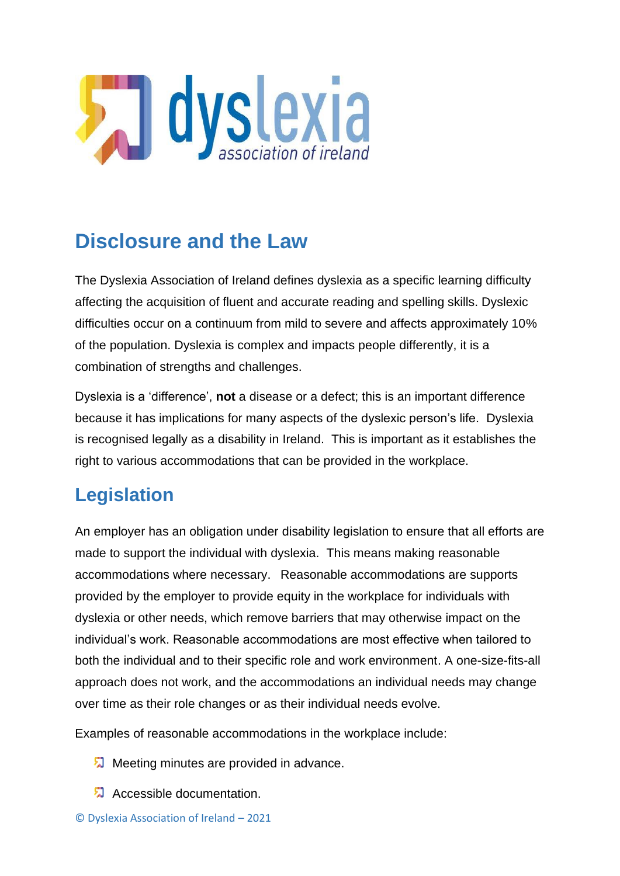

## **Disclosure and the Law**

The Dyslexia Association of Ireland defines dyslexia as a specific learning difficulty affecting the acquisition of fluent and accurate reading and spelling skills. Dyslexic difficulties occur on a continuum from mild to severe and affects approximately 10% of the population. Dyslexia is complex and impacts people differently, it is a combination of strengths and challenges.

Dyslexia is a 'difference', **not** a disease or a defect; this is an important difference because it has implications for many aspects of the dyslexic person's life. Dyslexia is recognised legally as a disability in Ireland. This is important as it establishes the right to various accommodations that can be provided in the workplace.

#### **Legislation**

An employer has an obligation under disability legislation to ensure that all efforts are made to support the individual with dyslexia. This means making reasonable accommodations where necessary. Reasonable accommodations are supports provided by the employer to provide equity in the workplace for individuals with dyslexia or other needs, which remove barriers that may otherwise impact on the individual's work. Reasonable accommodations are most effective when tailored to both the individual and to their specific role and work environment. A one-size-fits-all approach does not work, and the accommodations an individual needs may change over time as their role changes or as their individual needs evolve.

Examples of reasonable accommodations in the workplace include:

- **M** Meeting minutes are provided in advance.
- **A** Accessible documentation.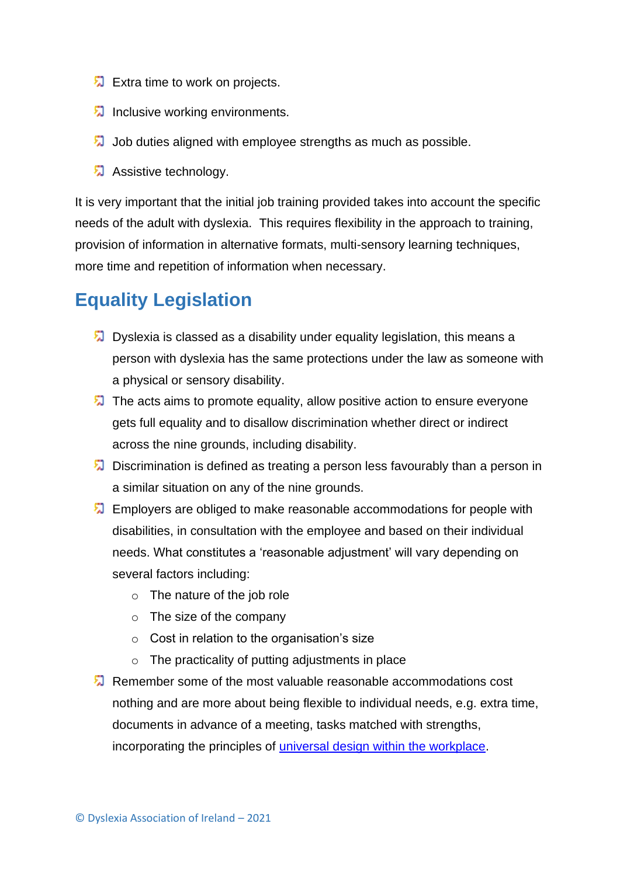- $\sqrt{2}$  Extra time to work on projects.
- **Inclusive working environments.**
- Job duties aligned with employee strengths as much as possible.
- Assistive technology.

It is very important that the initial job training provided takes into account the specific needs of the adult with dyslexia. This requires flexibility in the approach to training, provision of information in alternative formats, multi-sensory learning techniques, more time and repetition of information when necessary.

#### **Equality Legislation**

- $\sqrt{2}$  Dyslexia is classed as a disability under equality legislation, this means a person with dyslexia has the same protections under the law as someone with a physical or sensory disability.
- $\sqrt{2}$  The acts aims to promote equality, allow positive action to ensure everyone gets full equality and to disallow discrimination whether direct or indirect across the nine grounds, including disability.
- **Discrimination is defined as treating a person less favourably than a person in** a similar situation on any of the nine grounds.
- **Employers are obliged to make reasonable accommodations for people with** disabilities, in consultation with the employee and based on their individual needs. What constitutes a 'reasonable adjustment' will vary depending on several factors including:
	- o The nature of the job role
	- o The size of the company
	- o Cost in relation to the organisation's size
	- $\circ$  The practicality of putting adjustments in place
- Remember some of the most valuable reasonable accommodations cost nothing and are more about being flexible to individual needs, e.g. extra time, documents in advance of a meeting, tasks matched with strengths, incorporating the principles of [universal design within the workplace.](https://www.ahead.ie/journal/How-a-Universal-Design-Mindset-Can-Support-Learning-in-the-Workplace)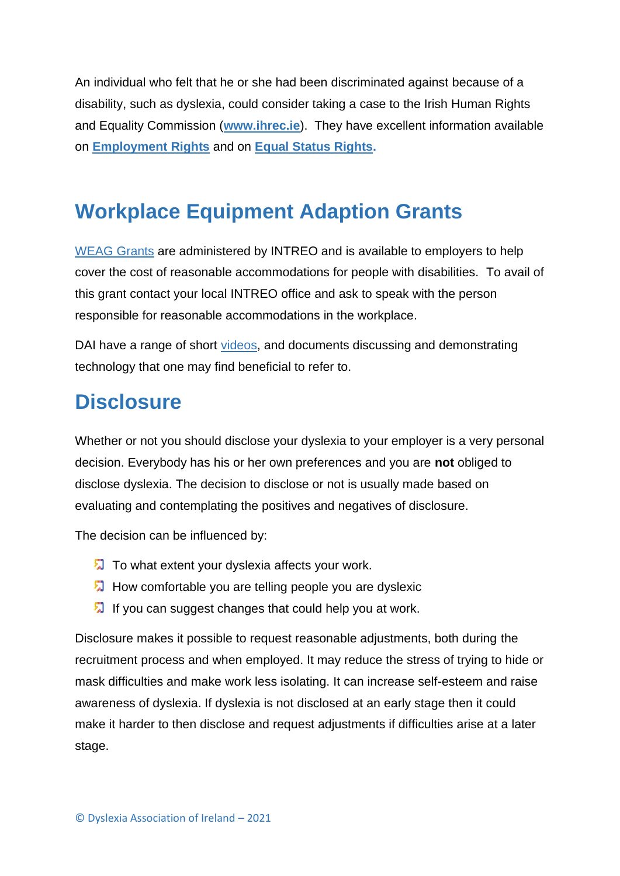An individual who felt that he or she had been discriminated against because of a disability, such as dyslexia, could consider taking a case to the Irish Human Rights and Equality Commission (**[www.ihrec.ie](http://www.ihrec.ie/)**). They have excellent information available on **[Employment](https://www.ihrec.ie/app/uploads/download/pdf/ihrec_employment_equality_rights_explained.pdf) Rights** and on **Equal Status [Rights.](https://www.ihrec.ie/app/uploads/download/pdf/ihrec_equal_status_rights_explained.pdf)** 

## **Workplace Equipment Adaption Grants**

[WEAG Grants](https://www.gov.ie/en/service/38fdd0-workplace-equipment-adaptation-grant/) are administered by INTREO and is available to employers to help cover the cost of reasonable accommodations for people with disabilities. To avail of this grant contact your local INTREO office and ask to speak with the person responsible for reasonable accommodations in the workplace.

DAI have a range of short [videos,](https://www.youtube.com/playlist?app=desktop&list=PLy0l0HZyprd3YixjBxgpZYIT4fu2oaB10) and documents discussing and demonstrating technology that one may find beneficial to refer to.

# **Disclosure**

Whether or not you should disclose your dyslexia to your employer is a very personal decision. Everybody has his or her own preferences and you are **not** obliged to disclose dyslexia. The decision to disclose or not is usually made based on evaluating and contemplating the positives and negatives of disclosure.

The decision can be influenced by:

- To what extent your dyslexia affects your work.
- **How comfortable you are telling people you are dyslexic**
- If you can suggest changes that could help you at work.

Disclosure makes it possible to request reasonable adjustments, both during the recruitment process and when employed. It may reduce the stress of trying to hide or mask difficulties and make work less isolating. It can increase self-esteem and raise awareness of dyslexia. If dyslexia is not disclosed at an early stage then it could make it harder to then disclose and request adjustments if difficulties arise at a later stage.